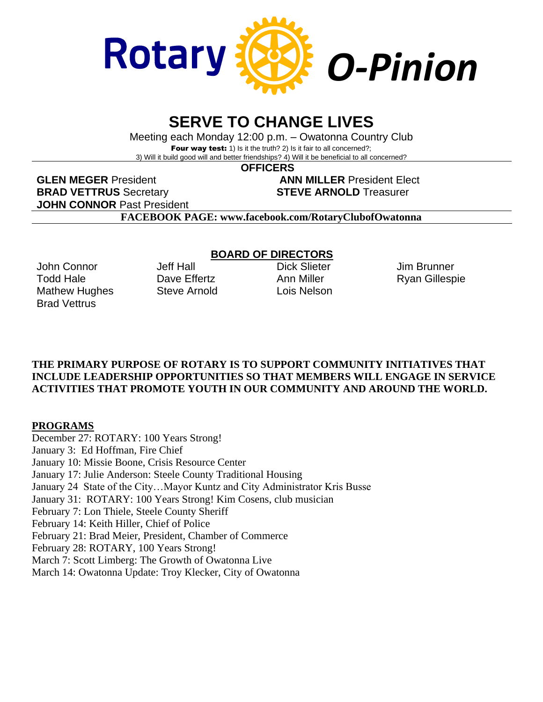

# **SERVE TO CHANGE LIVES**

Meeting each Monday 12:00 p.m. – Owatonna Country Club Four way test: 1) Is it the truth? 2) Is it fair to all concerned?; 3) Will it build good will and better friendships? 4) Will it be beneficial to all concerned?

 **OFFICERS**

**GLEN MEGER** President **ANN MILLER** President Elect **BRAD VETTRUS** Secretary **STEVE ARNOLD** Treasurer **JOHN CONNOR** Past President

**FACEBOOK PAGE: www.facebook.com/RotaryClubofOwatonna**

John Connor Todd Hale Mathew Hughes Brad Vettrus

Jeff Hall Dave Effertz Steve Arnold

# **BOARD OF DIRECTORS**

Dick Slieter Ann Miller Lois Nelson Jim Brunner Ryan Gillespie

#### **THE PRIMARY PURPOSE OF ROTARY IS TO SUPPORT COMMUNITY INITIATIVES THAT INCLUDE LEADERSHIP OPPORTUNITIES SO THAT MEMBERS WILL ENGAGE IN SERVICE ACTIVITIES THAT PROMOTE YOUTH IN OUR COMMUNITY AND AROUND THE WORLD.**

# **PROGRAMS**

December 27: ROTARY: 100 Years Strong! January 3: Ed Hoffman, Fire Chief January 10: Missie Boone, Crisis Resource Center January 17: Julie Anderson: Steele County Traditional Housing January 24 State of the City…Mayor Kuntz and City Administrator Kris Busse January 31: ROTARY: 100 Years Strong! Kim Cosens, club musician February 7: Lon Thiele, Steele County Sheriff February 14: Keith Hiller, Chief of Police February 21: Brad Meier, President, Chamber of Commerce February 28: ROTARY, 100 Years Strong! March 7: Scott Limberg: The Growth of Owatonna Live March 14: Owatonna Update: Troy Klecker, City of Owatonna